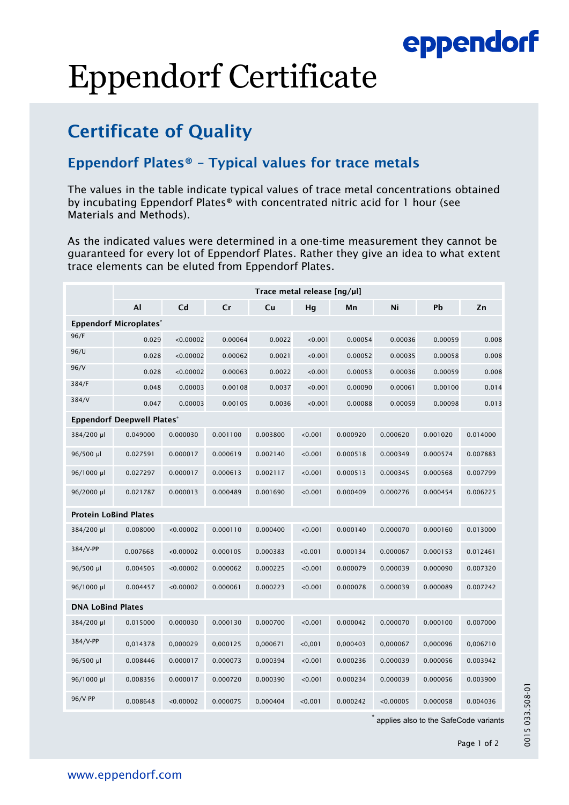### eppendorf

# Eppendorf Certificate

### Certificate of Quality

#### Eppendorf Plates® – Typical values for trace metals

The values in the table indicate typical values of trace metal concentrations obtained by incubating Eppendorf Plates® with concentrated nitric acid for 1 hour (see Materials and Methods).

As the indicated values were determined in a one-time measurement they cannot be guaranteed for every lot of Eppendorf Plates. Rather they give an idea to what extent trace elements can be eluted from Eppendorf Plates.

|                                   | Trace metal release [ng/µl] |           |          |          |         |          |           |          |          |  |  |  |
|-----------------------------------|-----------------------------|-----------|----------|----------|---------|----------|-----------|----------|----------|--|--|--|
|                                   | AI                          | Cd        | Cr       | Cu       | Hg      | Mn       | Ni        | Pb       | Zn       |  |  |  |
| <b>Eppendorf Microplates*</b>     |                             |           |          |          |         |          |           |          |          |  |  |  |
| 96/F                              | 0.029                       | < 0.00002 | 0.00064  | 0.0022   | < 0.001 | 0.00054  | 0.00036   | 0.00059  | 0.008    |  |  |  |
| 96/U                              | 0.028                       | < 0.00002 | 0.00062  | 0.0021   | < 0.001 | 0.00052  | 0.00035   | 0.00058  | 0.008    |  |  |  |
| 96/V                              | 0.028                       | < 0.00002 | 0.00063  | 0.0022   | 0.001   | 0.00053  | 0.00036   | 0.00059  | 0.008    |  |  |  |
| 384/F                             | 0.048                       | 0.00003   | 0.00108  | 0.0037   | < 0.001 | 0.00090  | 0.00061   | 0.00100  | 0.014    |  |  |  |
| 384/V                             | 0.047                       | 0.00003   | 0.00105  | 0.0036   | < 0.001 | 0.00088  | 0.00059   | 0.00098  | 0.013    |  |  |  |
| <b>Eppendorf Deepwell Plates*</b> |                             |           |          |          |         |          |           |          |          |  |  |  |
| 384/200 µl                        | 0.049000                    | 0.000030  | 0.001100 | 0.003800 | < 0.001 | 0.000920 | 0.000620  | 0.001020 | 0.014000 |  |  |  |
| 96/500 µl                         | 0.027591                    | 0.000017  | 0.000619 | 0.002140 | < 0.001 | 0.000518 | 0.000349  | 0.000574 | 0.007883 |  |  |  |
| 96/1000 µl                        | 0.027297                    | 0.000017  | 0.000613 | 0.002117 | < 0.001 | 0.000513 | 0.000345  | 0.000568 | 0.007799 |  |  |  |
| 96/2000 µl                        | 0.021787                    | 0.000013  | 0.000489 | 0.001690 | < 0.001 | 0.000409 | 0.000276  | 0.000454 | 0.006225 |  |  |  |
| <b>Protein LoBind Plates</b>      |                             |           |          |          |         |          |           |          |          |  |  |  |
| 384/200 µl                        | 0.008000                    | < 0.00002 | 0.000110 | 0.000400 | < 0.001 | 0.000140 | 0.000070  | 0.000160 | 0.013000 |  |  |  |
| 384/V-PP                          | 0.007668                    | < 0.00002 | 0.000105 | 0.000383 | < 0.001 | 0.000134 | 0.000067  | 0.000153 | 0.012461 |  |  |  |
| 96/500 µl                         | 0.004505                    | < 0.00002 | 0.000062 | 0.000225 | < 0.001 | 0.000079 | 0.000039  | 0.000090 | 0.007320 |  |  |  |
| 96/1000 µl                        | 0.004457                    | < 0.00002 | 0.000061 | 0.000223 | < 0.001 | 0.000078 | 0.000039  | 0.000089 | 0.007242 |  |  |  |
| <b>DNA LoBind Plates</b>          |                             |           |          |          |         |          |           |          |          |  |  |  |
| 384/200 µl                        | 0.015000                    | 0.000030  | 0.000130 | 0.000700 | < 0.001 | 0.000042 | 0.000070  | 0.000100 | 0.007000 |  |  |  |
| 384/V-PP                          | 0,014378                    | 0,000029  | 0,000125 | 0,000671 | < 0,001 | 0,000403 | 0,000067  | 0,000096 | 0,006710 |  |  |  |
| 96/500 µl                         | 0.008446                    | 0.000017  | 0.000073 | 0.000394 | < 0.001 | 0.000236 | 0.000039  | 0.000056 | 0.003942 |  |  |  |
| 96/1000 µl                        | 0.008356                    | 0.000017  | 0.000720 | 0.000390 | < 0.001 | 0.000234 | 0.000039  | 0.000056 | 0.003900 |  |  |  |
| 96/V-PP                           | 0.008648                    | < 0.00002 | 0.000075 | 0.000404 | < 0.001 | 0.000242 | < 0.00005 | 0.000058 | 0.004036 |  |  |  |

applies also to the SafeCode variants

0015 033.508-01

0015 033.508-01